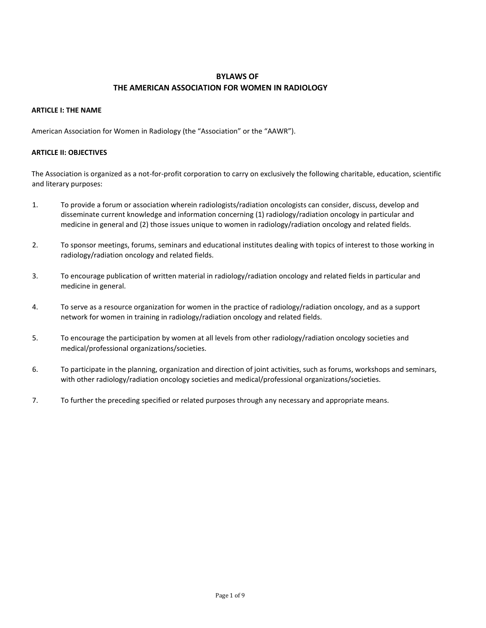# **BYLAWS OF THE AMERICAN ASSOCIATION FOR WOMEN IN RADIOLOGY**

### **ARTICLE I: THE NAME**

American Association for Women in Radiology (the "Association" or the "AAWR").

### **ARTICLE II: OBJECTIVES**

The Association is organized as a not-for-profit corporation to carry on exclusively the following charitable, education, scientific and literary purposes:

- 1. To provide a forum or association wherein radiologists/radiation oncologists can consider, discuss, develop and disseminate current knowledge and information concerning (1) radiology/radiation oncology in particular and medicine in general and (2) those issues unique to women in radiology/radiation oncology and related fields.
- 2. To sponsor meetings, forums, seminars and educational institutes dealing with topics of interest to those working in radiology/radiation oncology and related fields.
- 3. To encourage publication of written material in radiology/radiation oncology and related fields in particular and medicine in general.
- 4. To serve as a resource organization for women in the practice of radiology/radiation oncology, and as a support network for women in training in radiology/radiation oncology and related fields.
- 5. To encourage the participation by women at all levels from other radiology/radiation oncology societies and medical/professional organizations/societies.
- 6. To participate in the planning, organization and direction of joint activities, such as forums, workshops and seminars, with other radiology/radiation oncology societies and medical/professional organizations/societies.
- 7. To further the preceding specified or related purposes through any necessary and appropriate means.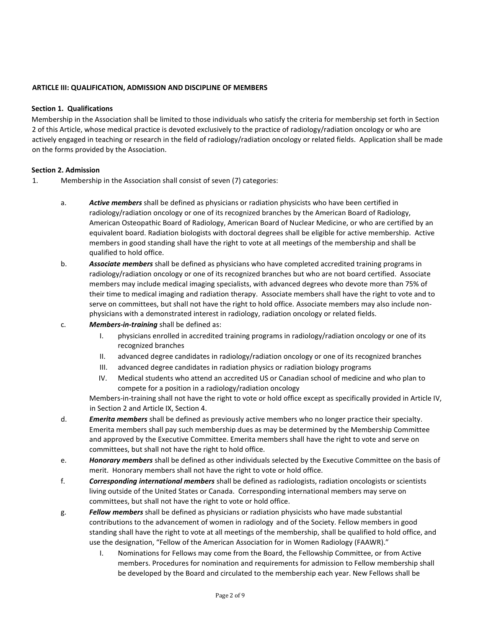### **ARTICLE III: QUALIFICATION, ADMISSION AND DISCIPLINE OF MEMBERS**

### **Section 1. Qualifications**

Membership in the Association shall be limited to those individuals who satisfy the criteria for membership set forth in Section 2 of this Article, whose medical practice is devoted exclusively to the practice of radiology/radiation oncology or who are actively engaged in teaching or research in the field of radiology/radiation oncology or related fields. Application shall be made on the forms provided by the Association.

#### **Section 2. Admission**

- 1. Membership in the Association shall consist of seven (7) categories:
	- a. *Active members* shall be defined as physicians or radiation physicists who have been certified in radiology/radiation oncology or one of its recognized branches by the American Board of Radiology, American Osteopathic Board of Radiology, American Board of Nuclear Medicine, or who are certified by an equivalent board. Radiation biologists with doctoral degrees shall be eligible for active membership. Active members in good standing shall have the right to vote at all meetings of the membership and shall be qualified to hold office.
	- b. *Associate members* shall be defined as physicians who have completed accredited training programs in radiology/radiation oncology or one of its recognized branches but who are not board certified. Associate members may include medical imaging specialists, with advanced degrees who devote more than 75% of their time to medical imaging and radiation therapy. Associate members shall have the right to vote and to serve on committees, but shall not have the right to hold office. Associate members may also include nonphysicians with a demonstrated interest in radiology, radiation oncology or related fields.
	- c. *Members-in-training* shall be defined as:
		- I. physicians enrolled in accredited training programs in radiology/radiation oncology or one of its recognized branches
		- II. advanced degree candidates in radiology/radiation oncology or one of its recognized branches
		- III. advanced degree candidates in radiation physics or radiation biology programs
		- IV. Medical students who attend an accredited US or Canadian school of medicine and who plan to compete for a position in a radiology/radiation oncology

Members-in-training shall not have the right to vote or hold office except as specifically provided in Article IV, in Section 2 and Article IX, Section 4.

- d. *Emerita members* shall be defined as previously active members who no longer practice their specialty. Emerita members shall pay such membership dues as may be determined by the Membership Committee and approved by the Executive Committee. Emerita members shall have the right to vote and serve on committees, but shall not have the right to hold office.
- e. *Honorary members* shall be defined as other individuals selected by the Executive Committee on the basis of merit. Honorary members shall not have the right to vote or hold office.
- f. *Corresponding international members* shall be defined as radiologists, radiation oncologists or scientists living outside of the United States or Canada. Corresponding international members may serve on committees, but shall not have the right to vote or hold office.
- g. *Fellow members* shall be defined as physicians or radiation physicists who have made substantial contributions to the advancement of women in radiology and of the Society. Fellow members in good standing shall have the right to vote at all meetings of the membership, shall be qualified to hold office, and use the designation, "Fellow of the American Association for in Women Radiology (FAAWR)."
	- I. Nominations for Fellows may come from the Board, the Fellowship Committee, or from Active members. Procedures for nomination and requirements for admission to Fellow membership shall be developed by the Board and circulated to the membership each year. New Fellows shall be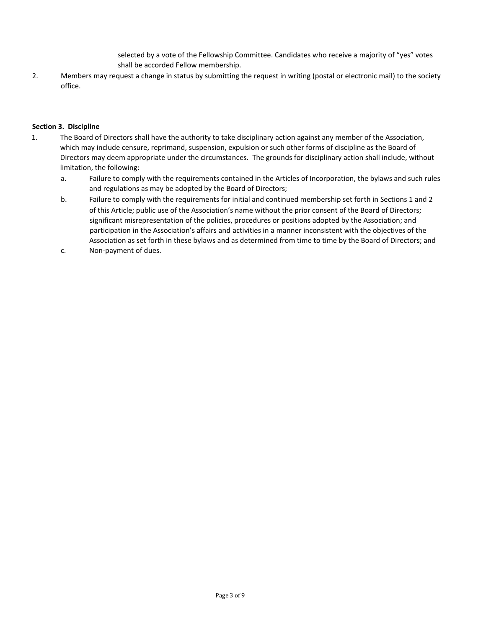selected by a vote of the Fellowship Committee. Candidates who receive a majority of "yes" votes shall be accorded Fellow membership.

2. Members may request a change in status by submitting the request in writing (postal or electronic mail) to the society office.

# **Section 3. Discipline**

- 1. The Board of Directors shall have the authority to take disciplinary action against any member of the Association, which may include censure, reprimand, suspension, expulsion or such other forms of discipline as the Board of Directors may deem appropriate under the circumstances. The grounds for disciplinary action shall include, without limitation, the following:
	- a. Failure to comply with the requirements contained in the Articles of Incorporation, the bylaws and such rules and regulations as may be adopted by the Board of Directors;
	- b. Failure to comply with the requirements for initial and continued membership set forth in Sections 1 and 2 of this Article; public use of the Association's name without the prior consent of the Board of Directors; significant misrepresentation of the policies, procedures or positions adopted by the Association; and participation in the Association's affairs and activities in a manner inconsistent with the objectives of the Association as set forth in these bylaws and as determined from time to time by the Board of Directors; and
	- c. Non-payment of dues.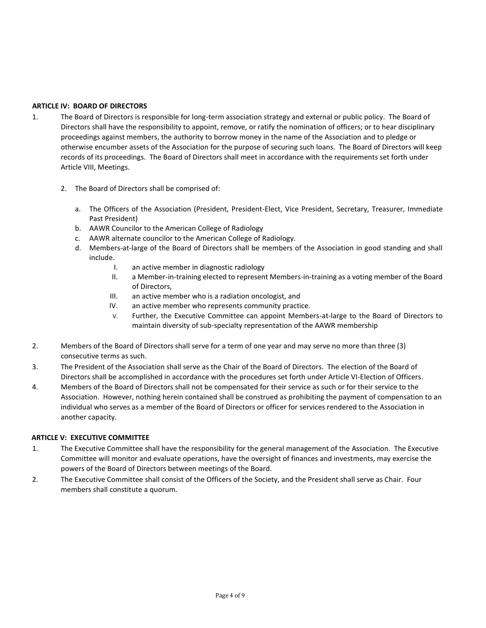# **ARTICLE IV: BOARD OF DIRECTORS**

- 1. The Board of Directors is responsible for long-term association strategy and external or public policy. The Board of Directors shall have the responsibility to appoint, remove, or ratify the nomination of officers; or to hear disciplinary proceedings against members, the authority to borrow money in the name of the Association and to pledge or otherwise encumber assets of the Association for the purpose of securing such loans. The Board of Directors will keep records of its proceedings. The Board of Directors shall meet in accordance with the requirements set forth under Article VIII, Meetings.
	- 2. The Board of Directors shall be comprised of:
		- a. The Officers of the Association (President, President-Elect, Vice President, Secretary, Treasurer, Immediate Past President)
		- b. AAWR Councilor to the American College of Radiology
		- c. AAWR alternate councilor to the American College of Radiology.
		- d. Members-at-large of the Board of Directors shall be members of the Association in good standing and shall include.
			- I. an active member in diagnostic radiology
			- II. a Member-in-training elected to represent Members-in-training as a voting member of the Board of Directors,
			- III. an active member who is a radiation oncologist, and
			- IV. an active member who represents community practice.
			- V. Further, the Executive Committee can appoint Members-at-large to the Board of Directors to maintain diversity of sub-specialty representation of the AAWR membership
- 2. Members of the Board of Directors shall serve for a term of one year and may serve no more than three (3) consecutive terms as such.
- 3. The President of the Association shall serve as the Chair of the Board of Directors. The election of the Board of Directors shall be accomplished in accordance with the procedures set forth under Article VI-Election of Officers.
- 4. Members of the Board of Directors shall not be compensated for their service as such or for their service to the Association. However, nothing herein contained shall be construed as prohibiting the payment of compensation to an individual who serves as a member of the Board of Directors or officer for services rendered to the Association in another capacity.

### **ARTICLE V: EXECUTIVE COMMITTEE**

- 1. The Executive Committee shall have the responsibility for the general management of the Association. The Executive Committee will monitor and evaluate operations, have the oversight of finances and investments, may exercise the powers of the Board of Directors between meetings of the Board.
- 2. The Executive Committee shall consist of the Officers of the Society, and the President shall serve as Chair. Four members shall constitute a quorum.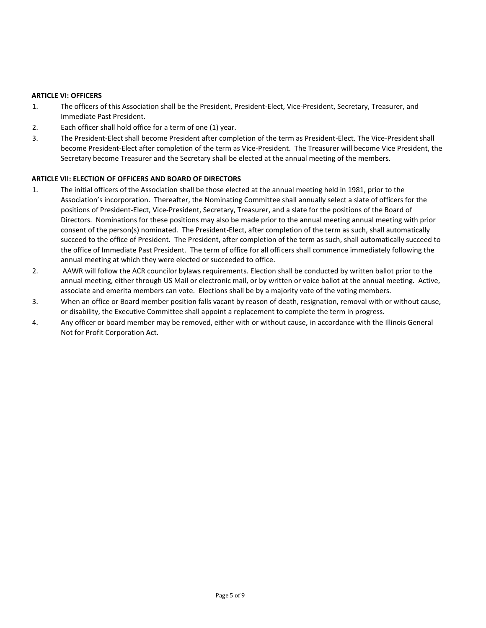### **ARTICLE VI: OFFICERS**

- 1. The officers of this Association shall be the President, President-Elect, Vice-President, Secretary, Treasurer, and Immediate Past President.
- 2. Each officer shall hold office for a term of one (1) year.
- 3. The President-Elect shall become President after completion of the term as President-Elect. The Vice-President shall become President-Elect after completion of the term as Vice-President. The Treasurer will become Vice President, the Secretary become Treasurer and the Secretary shall be elected at the annual meeting of the members.

### **ARTICLE VII: ELECTION OF OFFICERS AND BOARD OF DIRECTORS**

- 1. The initial officers of the Association shall be those elected at the annual meeting held in 1981, prior to the Association's incorporation. Thereafter, the Nominating Committee shall annually select a slate of officers for the positions of President-Elect, Vice-President, Secretary, Treasurer, and a slate for the positions of the Board of Directors. Nominations for these positions may also be made prior to the annual meeting annual meeting with prior consent of the person(s) nominated. The President-Elect, after completion of the term as such, shall automatically succeed to the office of President. The President, after completion of the term as such, shall automatically succeed to the office of Immediate Past President. The term of office for all officers shall commence immediately following the annual meeting at which they were elected or succeeded to office.
- 2. AAWR will follow the ACR councilor bylaws requirements. Election shall be conducted by written ballot prior to the annual meeting, either through US Mail or electronic mail, or by written or voice ballot at the annual meeting. Active, associate and emerita members can vote. Elections shall be by a majority vote of the voting members.
- 3. When an office or Board member position falls vacant by reason of death, resignation, removal with or without cause, or disability, the Executive Committee shall appoint a replacement to complete the term in progress.
- 4. Any officer or board member may be removed, either with or without cause, in accordance with the Illinois General Not for Profit Corporation Act.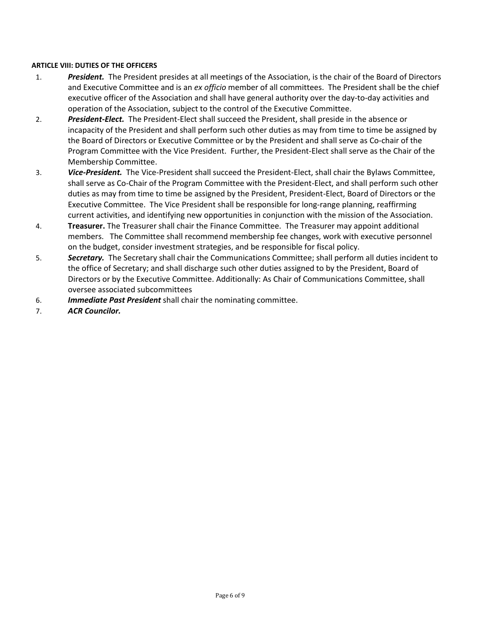# **ARTICLE VIII: DUTIES OF THE OFFICERS**

- 1. *President.* The President presides at all meetings of the Association, is the chair of the Board of Directors and Executive Committee and is an *ex officio* member of all committees. The President shall be the chief executive officer of the Association and shall have general authority over the day-to-day activities and operation of the Association, subject to the control of the Executive Committee.
- 2. *President-Elect.* The President-Elect shall succeed the President, shall preside in the absence or incapacity of the President and shall perform such other duties as may from time to time be assigned by the Board of Directors or Executive Committee or by the President and shall serve as Co-chair of the Program Committee with the Vice President. Further, the President-Elect shall serve as the Chair of the Membership Committee.
- 3. *Vice-President.* The Vice-President shall succeed the President-Elect, shall chair the Bylaws Committee, shall serve as Co-Chair of the Program Committee with the President-Elect, and shall perform such other duties as may from time to time be assigned by the President, President-Elect, Board of Directors or the Executive Committee. The Vice President shall be responsible for long-range planning, reaffirming current activities, and identifying new opportunities in conjunction with the mission of the Association.
- 4. **Treasurer.** The Treasurer shall chair the Finance Committee. The Treasurer may appoint additional members. The Committee shall recommend membership fee changes, work with executive personnel on the budget, consider investment strategies, and be responsible for fiscal policy.
- 5. *Secretary.* The Secretary shall chair the Communications Committee; shall perform all duties incident to the office of Secretary; and shall discharge such other duties assigned to by the President, Board of Directors or by the Executive Committee. Additionally: As Chair of Communications Committee, shall oversee associated subcommittees
- 6. *Immediate Past President* shall chair the nominating committee.
- 7. *ACR Councilor.*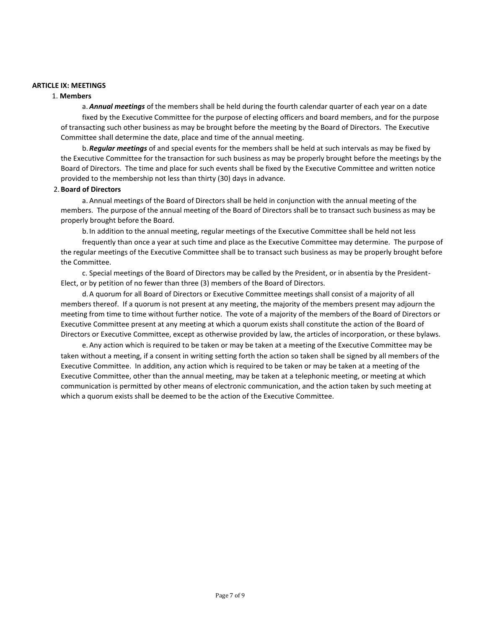#### **ARTICLE IX: MEETINGS**

#### 1. **Members**

a. *Annual meetings* of the members shall be held during the fourth calendar quarter of each year on a date fixed by the Executive Committee for the purpose of electing officers and board members, and for the purpose of transacting such other business as may be brought before the meeting by the Board of Directors. The Executive Committee shall determine the date, place and time of the annual meeting.

b.*Regular meetings* of and special events for the members shall be held at such intervals as may be fixed by the Executive Committee for the transaction for such business as may be properly brought before the meetings by the Board of Directors. The time and place for such events shall be fixed by the Executive Committee and written notice provided to the membership not less than thirty (30) days in advance.

#### 2. **Board of Directors**

a. Annual meetings of the Board of Directors shall be held in conjunction with the annual meeting of the members. The purpose of the annual meeting of the Board of Directors shall be to transact such business as may be properly brought before the Board.

b.In addition to the annual meeting, regular meetings of the Executive Committee shall be held not less

frequently than once a year at such time and place as the Executive Committee may determine. The purpose of the regular meetings of the Executive Committee shall be to transact such business as may be properly brought before the Committee.

c. Special meetings of the Board of Directors may be called by the President, or in absentia by the President-Elect, or by petition of no fewer than three (3) members of the Board of Directors.

d.A quorum for all Board of Directors or Executive Committee meetings shall consist of a majority of all members thereof. If a quorum is not present at any meeting, the majority of the members present may adjourn the meeting from time to time without further notice. The vote of a majority of the members of the Board of Directors or Executive Committee present at any meeting at which a quorum exists shall constitute the action of the Board of Directors or Executive Committee, except as otherwise provided by law, the articles of incorporation, or these bylaws.

e. Any action which is required to be taken or may be taken at a meeting of the Executive Committee may be taken without a meeting, if a consent in writing setting forth the action so taken shall be signed by all members of the Executive Committee. In addition, any action which is required to be taken or may be taken at a meeting of the Executive Committee, other than the annual meeting, may be taken at a telephonic meeting, or meeting at which communication is permitted by other means of electronic communication, and the action taken by such meeting at which a quorum exists shall be deemed to be the action of the Executive Committee.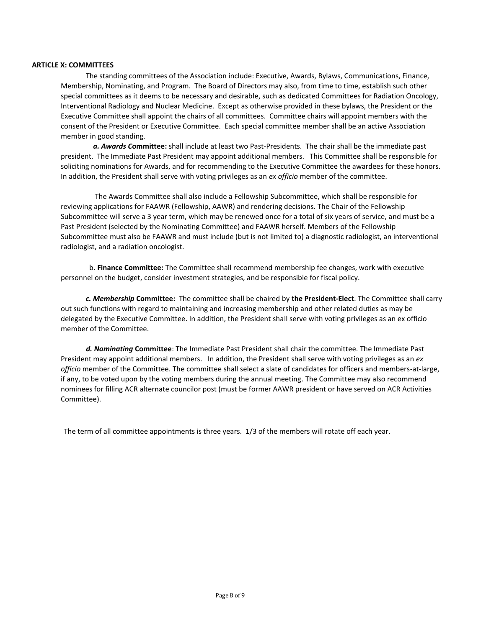#### **ARTICLE X: COMMITTEES**

The standing committees of the Association include: Executive, Awards, Bylaws, Communications, Finance, Membership, Nominating, and Program. The Board of Directors may also, from time to time, establish such other special committees as it deems to be necessary and desirable, such as dedicated Committees for Radiation Oncology, Interventional Radiology and Nuclear Medicine. Except as otherwise provided in these bylaws, the President or the Executive Committee shall appoint the chairs of all committees. Committee chairs will appoint members with the consent of the President or Executive Committee. Each special committee member shall be an active Association member in good standing.

 *a. Awards C***ommittee:** shall include at least two Past-Presidents. The chair shall be the immediate past president. The Immediate Past President may appoint additional members. This Committee shall be responsible for soliciting nominations for Awards, and for recommending to the Executive Committee the awardees for these honors. In addition, the President shall serve with voting privileges as an *ex officio* member of the committee.

 The Awards Committee shall also include a Fellowship Subcommittee, which shall be responsible for reviewing applications for FAAWR (Fellowship, AAWR) and rendering decisions. The Chair of the Fellowship Subcommittee will serve a 3 year term, which may be renewed once for a total of six years of service, and must be a Past President (selected by the Nominating Committee) and FAAWR herself. Members of the Fellowship Subcommittee must also be FAAWR and must include (but is not limited to) a diagnostic radiologist, an interventional radiologist, and a radiation oncologist.

b. **Finance Committee:** The Committee shall recommend membership fee changes, work with executive personnel on the budget, consider investment strategies, and be responsible for fiscal policy.

*c. Membership* **Committee:** The committee shall be chaired by **the President-Elect**. The Committee shall carry out such functions with regard to maintaining and increasing membership and other related duties as may be delegated by the Executive Committee. In addition, the President shall serve with voting privileges as an ex officio member of the Committee.

 *d. Nominating* **Committee**: The Immediate Past President shall chair the committee. The Immediate Past President may appoint additional members. In addition, the President shall serve with voting privileges as an *ex officio* member of the Committee. The committee shall select a slate of candidates for officers and members-at-large, if any, to be voted upon by the voting members during the annual meeting. The Committee may also recommend nominees for filling ACR alternate councilor post (must be former AAWR president or have served on ACR Activities Committee).

The term of all committee appointments is three years. 1/3 of the members will rotate off each year.